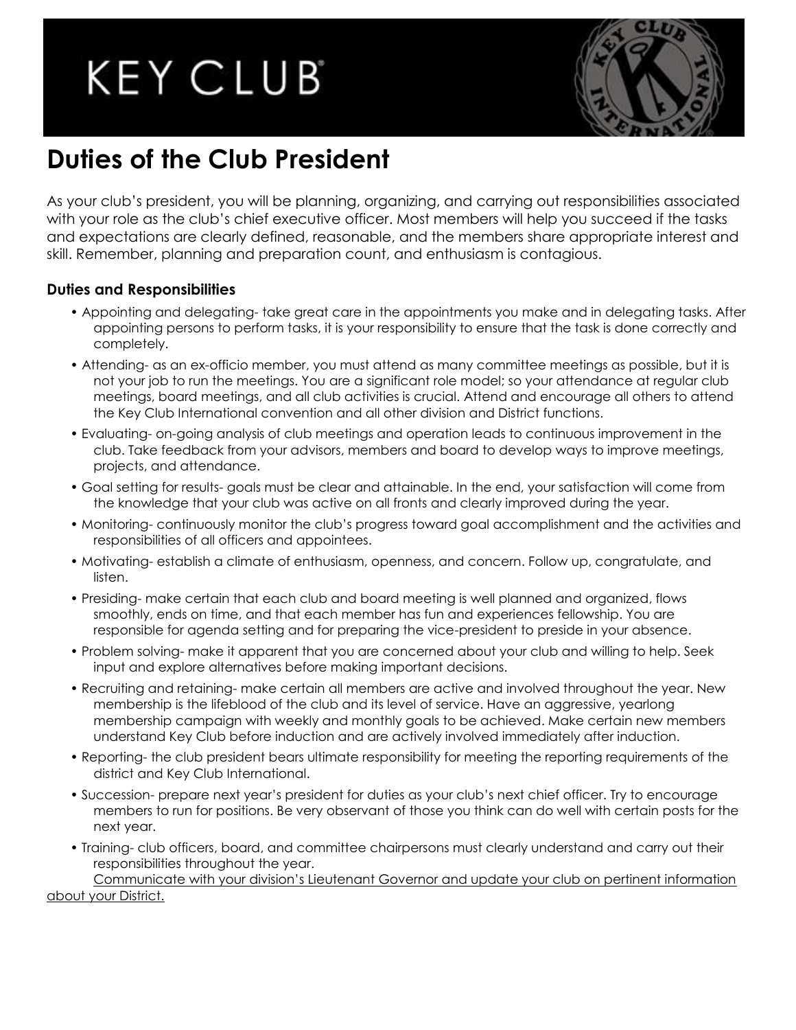# **KEY CLUB**



# **Duties of the Club President**

As your club's president, you will be planning, organizing, and carrying out responsibilities associated with your role as the club's chief executive officer. Most members will help you succeed if the tasks and expectations are clearly defined, reasonable, and the members share appropriate interest and skill. Remember, planning and preparation count, and enthusiasm is contagious.

## **Duties and Responsibilities**

- Appointing and delegating- take great care in the appointments you make and in delegating tasks. After appointing persons to perform tasks, it is your responsibility to ensure that the task is done correctly and completely.
- Attending- as an ex-officio member, you must attend as many committee meetings as possible, but it is not your job to run the meetings. You are a significant role model; so your attendance at regular club meetings, board meetings, and all club activities is crucial. Attend and encourage all others to attend the Key Club International convention and all other division and District functions.
- Evaluating- on-going analysis of club meetings and operation leads to continuous improvement in the club. Take feedback from your advisors, members and board to develop ways to improve meetings, projects, and attendance.
- Goal setting for results- goals must be clear and attainable. In the end, your satisfaction will come from the knowledge that your club was active on all fronts and clearly improved during the year.
- Monitoring- continuously monitor the club's progress toward goal accomplishment and the activities and responsibilities of all officers and appointees.
- Motivating- establish a climate of enthusiasm, openness, and concern. Follow up, congratulate, and listen.
- Presiding- make certain that each club and board meeting is well planned and organized, flows smoothly, ends on time, and that each member has fun and experiences fellowship. You are responsible for agenda setting and for preparing the vice-president to preside in your absence.
- Problem solving- make it apparent that you are concerned about your club and willing to help. Seek input and explore alternatives before making important decisions.
- Recruiting and retaining- make certain all members are active and involved throughout the year. New membership is the lifeblood of the club and its level of service. Have an aggressive, yearlong membership campaign with weekly and monthly goals to be achieved. Make certain new members understand Key Club before induction and are actively involved immediately after induction.
- Reporting- the club president bears ultimate responsibility for meeting the reporting requirements of the district and Key Club International.
- Succession- prepare next year's president for duties as your club's next chief officer. Try to encourage members to run for positions. Be very observant of those you think can do well with certain posts for the next year.
- Training- club officers, board, and committee chairpersons must clearly understand and carry out their responsibilities throughout the year.

Communicate with your division's Lieutenant Governor and update your club on pertinent information about your District.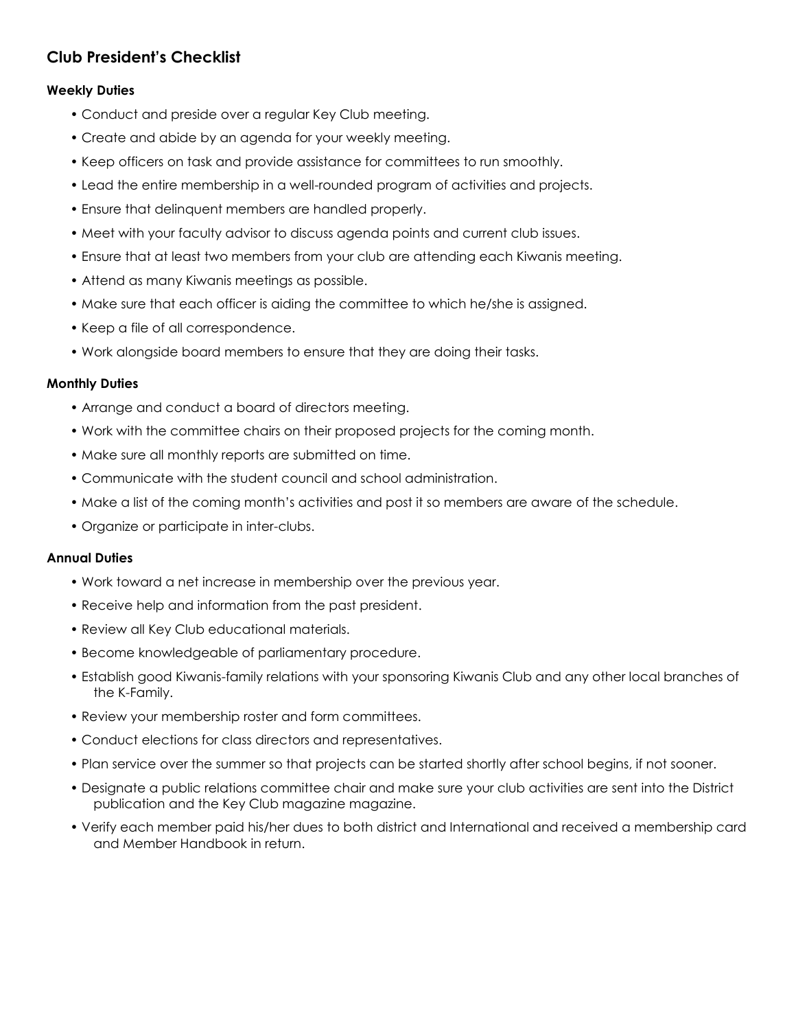# **Club President's Checklist**

### **Weekly Duties**

- Conduct and preside over a regular Key Club meeting.
- Create and abide by an agenda for your weekly meeting.
- Keep officers on task and provide assistance for committees to run smoothly.
- Lead the entire membership in a well-rounded program of activities and projects.
- Ensure that delinquent members are handled properly.
- Meet with your faculty advisor to discuss agenda points and current club issues.
- Ensure that at least two members from your club are attending each Kiwanis meeting.
- Attend as many Kiwanis meetings as possible.
- Make sure that each officer is aiding the committee to which he/she is assigned.
- Keep a file of all correspondence.
- Work alongside board members to ensure that they are doing their tasks.

#### **Monthly Duties**

- Arrange and conduct a board of directors meeting.
- Work with the committee chairs on their proposed projects for the coming month.
- Make sure all monthly reports are submitted on time.
- Communicate with the student council and school administration.
- Make a list of the coming month's activities and post it so members are aware of the schedule.
- Organize or participate in inter-clubs.

#### **Annual Duties**

- Work toward a net increase in membership over the previous year.
- Receive help and information from the past president.
- Review all Key Club educational materials.
- Become knowledgeable of parliamentary procedure.
- Establish good Kiwanis-family relations with your sponsoring Kiwanis Club and any other local branches of the K-Family.
- Review your membership roster and form committees.
- Conduct elections for class directors and representatives.
- Plan service over the summer so that projects can be started shortly after school begins, if not sooner.
- Designate a public relations committee chair and make sure your club activities are sent into the District publication and the Key Club magazine magazine.
- Verify each member paid his/her dues to both district and International and received a membership card and Member Handbook in return.